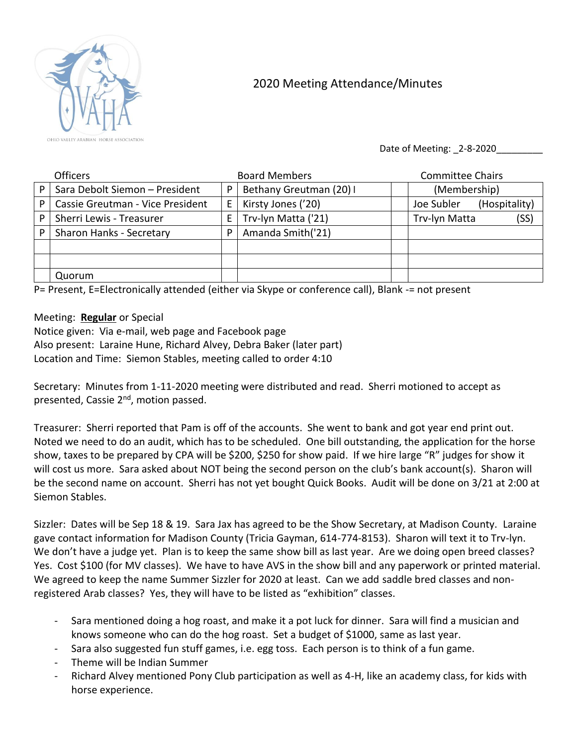

## 2020 Meeting Attendance/Minutes

Date of Meeting: \_2-8-2020

|   | Officers                         |    | <b>Board Members</b>    | <b>Committee Chairs</b>     |
|---|----------------------------------|----|-------------------------|-----------------------------|
| P | Sara Debolt Siemon - President   | P  | Bethany Greutman (20) I | (Membership)                |
| P | Cassie Greutman - Vice President | E  | Kirsty Jones ('20)      | Joe Subler<br>(Hospitality) |
| P | Sherri Lewis - Treasurer         | E. | Trv-lyn Matta ('21)     | (SS)<br>Trv-lyn Matta       |
| P | <b>Sharon Hanks - Secretary</b>  | P  | Amanda Smith('21)       |                             |
|   |                                  |    |                         |                             |
|   |                                  |    |                         |                             |
|   | Quorum                           |    |                         |                             |

P= Present, E=Electronically attended (either via Skype or conference call), Blank -= not present

## Meeting: **Regular** or Special

Notice given: Via e-mail, web page and Facebook page Also present: Laraine Hune, Richard Alvey, Debra Baker (later part) Location and Time: Siemon Stables, meeting called to order 4:10

Secretary: Minutes from 1-11-2020 meeting were distributed and read. Sherri motioned to accept as presented, Cassie 2<sup>nd</sup>, motion passed.

Treasurer: Sherri reported that Pam is off of the accounts. She went to bank and got year end print out. Noted we need to do an audit, which has to be scheduled. One bill outstanding, the application for the horse show, taxes to be prepared by CPA will be \$200, \$250 for show paid. If we hire large "R" judges for show it will cost us more. Sara asked about NOT being the second person on the club's bank account(s). Sharon will be the second name on account. Sherri has not yet bought Quick Books. Audit will be done on 3/21 at 2:00 at Siemon Stables.

Sizzler: Dates will be Sep 18 & 19. Sara Jax has agreed to be the Show Secretary, at Madison County. Laraine gave contact information for Madison County (Tricia Gayman, 614-774-8153). Sharon will text it to Trv-lyn. We don't have a judge yet. Plan is to keep the same show bill as last year. Are we doing open breed classes? Yes. Cost \$100 (for MV classes). We have to have AVS in the show bill and any paperwork or printed material. We agreed to keep the name Summer Sizzler for 2020 at least. Can we add saddle bred classes and nonregistered Arab classes? Yes, they will have to be listed as "exhibition" classes.

- Sara mentioned doing a hog roast, and make it a pot luck for dinner. Sara will find a musician and knows someone who can do the hog roast. Set a budget of \$1000, same as last year.
- Sara also suggested fun stuff games, i.e. egg toss. Each person is to think of a fun game.
- Theme will be Indian Summer
- Richard Alvey mentioned Pony Club participation as well as 4-H, like an academy class, for kids with horse experience.